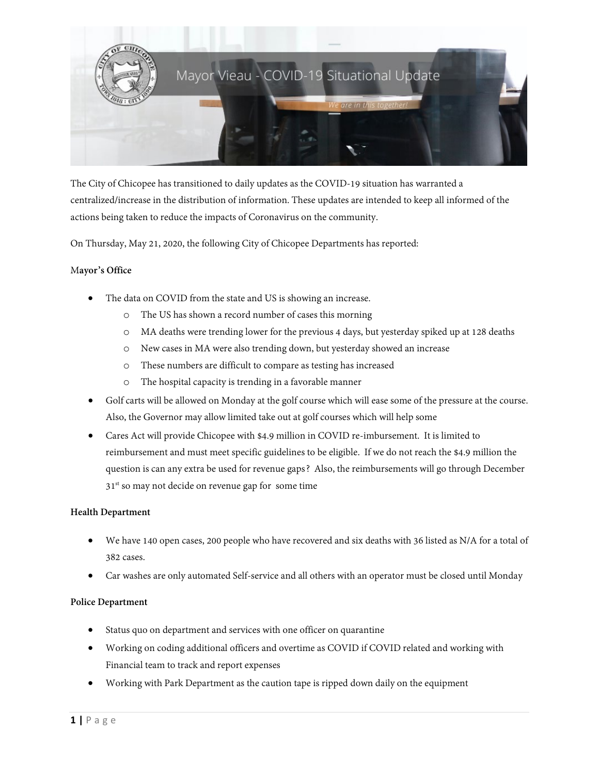

The City of Chicopee has transitioned to daily updates as the COVID-19 situation has warranted a centralized/increase in the distribution of information. These updates are intended to keep all informed of the actions being taken to reduce the impacts of Coronavirus on the community.

On Thursday, May 21, 2020, the following City of Chicopee Departments has reported:

# M**ayor's Office**

- The data on COVID from the state and US is showing an increase.
	- o The US has shown a record number of cases this morning
	- o MA deaths were trending lower for the previous 4 days, but yesterday spiked up at 128 deaths
	- o New cases in MA were also trending down, but yesterday showed an increase
	- o These numbers are difficult to compare as testing has increased
	- o The hospital capacity is trending in a favorable manner
- Golf carts will be allowed on Monday at the golf course which will ease some of the pressure at the course. Also, the Governor may allow limited take out at golf courses which will help some
- Cares Act will provide Chicopee with \$4.9 million in COVID re-imbursement. It is limited to reimbursement and must meet specific guidelines to be eligible. If we do not reach the \$4.9 million the question is can any extra be used for revenue gaps? Also, the reimbursements will go through December 31<sup>st</sup> so may not decide on revenue gap for some time

#### **Health Department**

- We have 140 open cases, 200 people who have recovered and six deaths with 36 listed as N/A for a total of 382 cases.
- Car washes are only automated Self-service and all others with an operator must be closed until Monday

#### **Police Department**

- Status quo on department and services with one officer on quarantine
- Working on coding additional officers and overtime as COVID if COVID related and working with Financial team to track and report expenses
- Working with Park Department as the caution tape is ripped down daily on the equipment